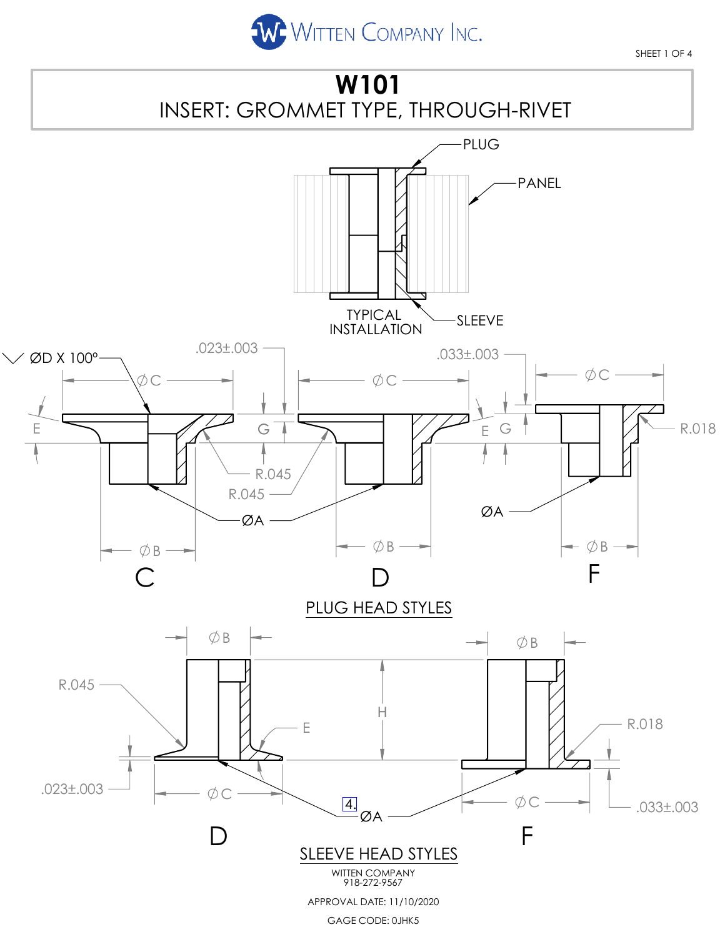

SHEET 1 OF 4

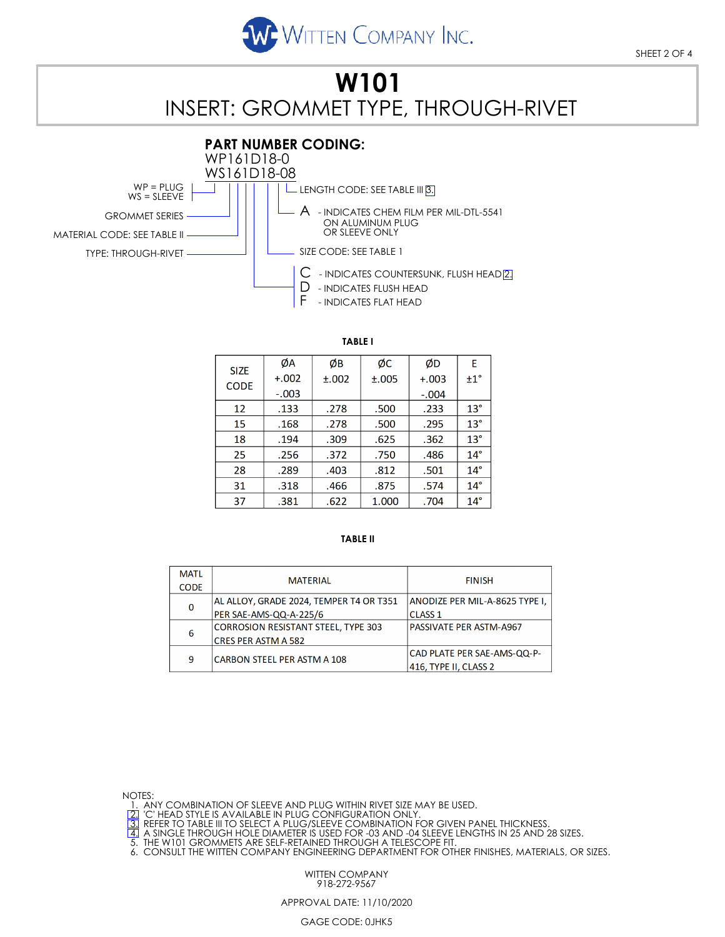

## **W101** INSERT: GROMMET TYPE, THROUGH-RIVET



**TABLE I**

| <b>SIZE</b><br><b>CODE</b> | ØA      | ØВ    | ØС    | ØD      | E            |
|----------------------------|---------|-------|-------|---------|--------------|
|                            | $+.002$ | ±.002 | ±.005 | $+.003$ | ±1°          |
|                            | $-.003$ |       |       | $-.004$ |              |
| 12                         | .133    | .278  | .500  | .233    | $13^{\circ}$ |
| 15                         | .168    | .278  | .500  | .295    | $13^\circ$   |
| 18                         | .194    | .309  | .625  | .362    | $13^\circ$   |
| 25                         | .256    | .372  | .750  | .486    | $14^{\circ}$ |
| 28                         | .289    | .403  | .812  | .501    | $14^{\circ}$ |
| 31                         | .318    | .466  | .875  | .574    | $14^{\circ}$ |
| 37                         | .381    | .622  | 1.000 | .704    | $14^{\circ}$ |

### **TABLE II**

| <b>MATL</b> |                                            |                                |  |  |
|-------------|--------------------------------------------|--------------------------------|--|--|
| <b>CODE</b> | <b>MATERIAL</b>                            | <b>FINISH</b>                  |  |  |
| 0           | AL ALLOY, GRADE 2024, TEMPER T4 OR T351    | ANODIZE PER MIL-A-8625 TYPE I, |  |  |
|             | PER SAE-AMS-QQ-A-225/6                     | <b>CLASS 1</b>                 |  |  |
|             | <b>CORROSION RESISTANT STEEL, TYPE 303</b> | PASSIVATE PER ASTM-A967        |  |  |
| 6           | CRES PER ASTM A 582                        |                                |  |  |
| 9           | CARBON STEEL PER ASTM A 108                | CAD PLATE PER SAE-AMS-QQ-P-    |  |  |
|             |                                            | 416, TYPE II, CLASS 2          |  |  |

NOTES:

1. ANY COMBINATION OF SLEEVE AND PLUG WITHIN RIVET SIZE MAY BE USED.<br>[2] 'C' HEAD STYLE IS AVAILABLE IN PLUG CONFIGURATION ONLY.<br>[3] REFER TO TABLE III TO SELECT A PLUG/SLEEVE COMBINATION FOR GIVEN PANEL THICKNESS.

[4] A SINGLE THROUGH HOLE DIAMETER IS USED FOR -03 AND -04 SLEEVE LENGTHS IN 25 AND 28 SIZES.<br>5. THE W101 GROMMETS ARE SELF-RETAINED THROUGH A TELESCOPE FIT.<br>6. CONSULT THE WITTEN COMPANY ENGINEERING DEPARTMENT FOR OTHER F

WITTEN COMPANY 918-272-9567

### APPROVAL DATE: 11/10/2020

#### GAGE CODE: 0JHK5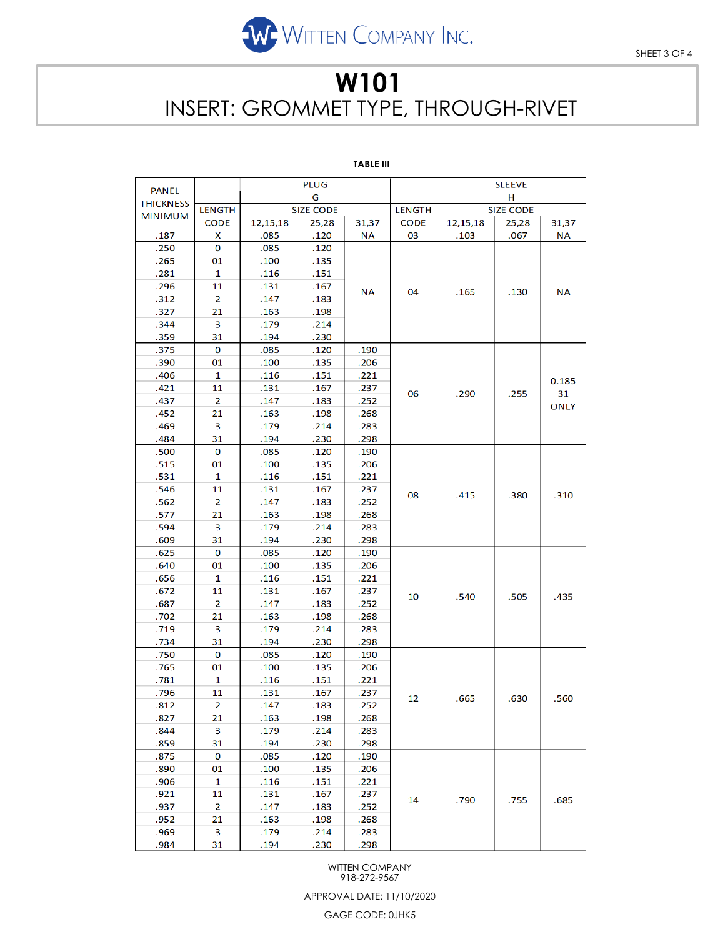

SHEET 3 OF 4

# **W101** INSERT: GROMMET TYPE, THROUGH-RIVET

## **TABLE III**

| <b>PANEL</b>     | <b>PLUG</b>    |                  |       | <b>SLEEVE</b> |                  |          |       |                            |
|------------------|----------------|------------------|-------|---------------|------------------|----------|-------|----------------------------|
| <b>THICKNESS</b> |                | G                |       |               |                  | н        |       |                            |
| <b>MINIMUM</b>   | <b>LENGTH</b>  | <b>SIZE CODE</b> |       | <b>LENGTH</b> | <b>SIZE CODE</b> |          |       |                            |
|                  | <b>CODE</b>    | 12, 15, 18       | 25,28 | 31,37         | <b>CODE</b>      | 12,15,18 | 25,28 | 31,37                      |
| .187             | x              | .085             | .120  | <b>NA</b>     | 03               | .103     | .067  | <b>NA</b>                  |
| .250             | 0              | .085             | .120  |               |                  | .165     | .130  | <b>NA</b>                  |
| .265             | 01             | .100             | .135  |               |                  |          |       |                            |
| .281             | 1              | .116             | .151  |               | 04               |          |       |                            |
| .296             | 11             | .131             | .167  | ΝA            |                  |          |       |                            |
| .312             | 2              | .147             | .183  |               |                  |          |       |                            |
| .327             | 21             | .163             | .198  |               |                  |          |       |                            |
| .344             | 3              | .179             | .214  |               |                  |          |       |                            |
| .359             | 31             | .194             | .230  |               |                  |          |       |                            |
| .375             | 0              | .085             | .120  | .190          |                  | .290     | .255  | 0.185<br>31<br><b>ONLY</b> |
| .390             | 01             | .100             | .135  | .206          |                  |          |       |                            |
| .406             | 1              | .116             | .151  | .221          |                  |          |       |                            |
| .421             | 11             | .131             | .167  | .237          | 06               |          |       |                            |
| .437             | 2              | .147             | .183  | .252          |                  |          |       |                            |
| .452             | 21             | .163             | .198  | .268          |                  |          |       |                            |
| .469             | 3              | .179             | .214  | .283          |                  |          |       |                            |
| .484             | 31             | .194             | .230  | .298          |                  |          |       |                            |
| .500             | 0              | .085             | .120  | .190          |                  | .415     | .380  | .310                       |
| .515             | 01             | .100             | .135  | .206          |                  |          |       |                            |
| .531             | 1              | .116             | .151  | .221          |                  |          |       |                            |
| .546             | 11             | .131             | .167  | .237          | 08               |          |       |                            |
| .562             | 2              | .147             | .183  | .252          |                  |          |       |                            |
| .577             | 21             | .163             | .198  | .268          |                  |          |       |                            |
| .594             | 3              | .179             | .214  | .283          |                  |          |       |                            |
| .609             | 31             | .194             | .230  | .298          |                  |          |       |                            |
| .625             | 0              | .085             | .120  | .190          |                  | .540     | .505  | .435                       |
| .640             | 01             | .100             | .135  | .206          |                  |          |       |                            |
| .656             | 1              | .116             | .151  | .221          |                  |          |       |                            |
| .672             | 11             | .131             | .167  | .237          | 10               |          |       |                            |
| .687             | 2              | .147             | .183  | .252          |                  |          |       |                            |
| .702             | 21             | .163             | .198  | .268          |                  |          |       |                            |
| .719             | 3              | .179             | .214  | .283          |                  |          |       |                            |
| .734             | 31             | .194             | .230  | .298          |                  |          |       |                            |
| .750             | 0              | .085             | .120  | .190          |                  |          | .630  | .560                       |
| .765             | 01             | .100             | .135  | .206          |                  | .665     |       |                            |
| .781             | 1              | .116             | .151  | .221          |                  |          |       |                            |
| .796             | 11             | .131             | .167  | .237          | 12               |          |       |                            |
| .812             | $\overline{2}$ | .147             | .183  | .252          |                  |          |       |                            |
| .827             | 21             | .163             | .198  | .268          |                  |          |       |                            |
| .844             | 3              | .179             | .214  | .283          |                  |          |       |                            |
| .859             | 31             | .194             | .230  | .298          |                  |          |       |                            |
| .875             | $\pmb{0}$      | .085             | .120  | .190          |                  | .790     | .755  | .685                       |
| .890             | 01             | .100             | .135  | .206          |                  |          |       |                            |
| .906             | $\mathbf{1}$   | .116             | .151  | .221          |                  |          |       |                            |
| .921             | 11             | .131             | .167  | .237          | 14               |          |       |                            |
| .937             | 2              | .147             | .183  | .252          |                  |          |       |                            |
| .952             | 21             | .163             | .198  | .268          |                  |          |       |                            |
| .969             | 3              | .179             | .214  | .283          |                  |          |       |                            |
| .984             | 31             | .194             | .230  | .298          |                  |          |       |                            |

WITTEN COMPANY 918-272-9567

APPROVAL DATE: 11/10/2020

GAGE CODE: 0JHK5